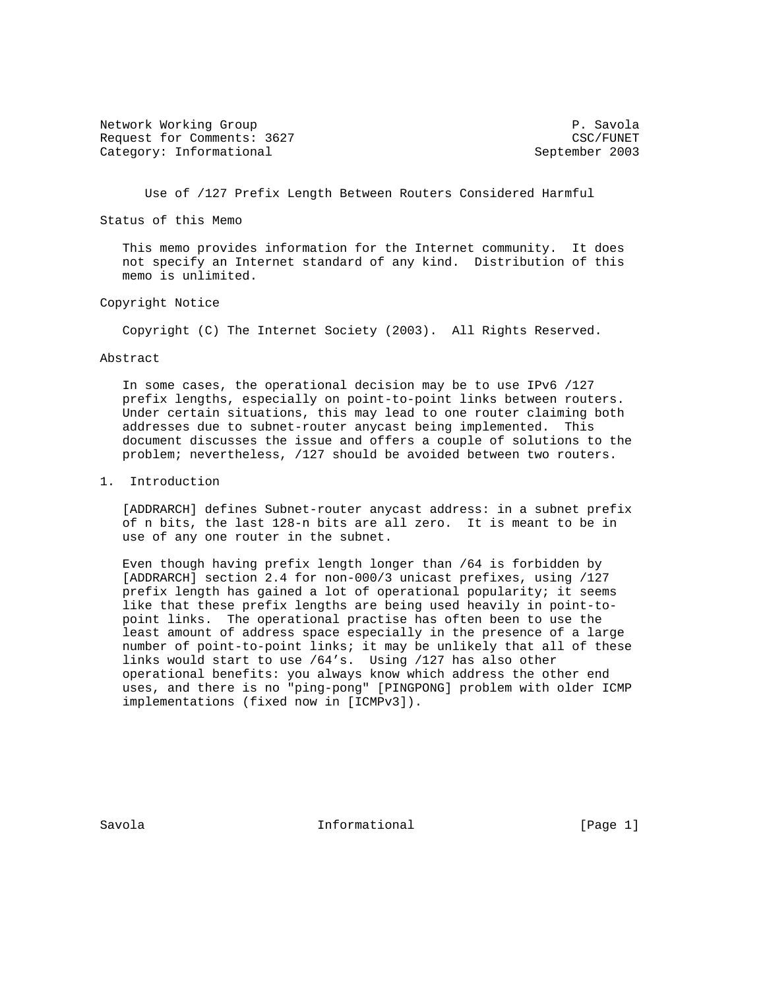Network Working Group **P. Savola** Request for Comments: 3627 CSC/FUNET Category: Informational September 2003

Use of /127 Prefix Length Between Routers Considered Harmful

Status of this Memo

 This memo provides information for the Internet community. It does not specify an Internet standard of any kind. Distribution of this memo is unlimited.

### Copyright Notice

Copyright (C) The Internet Society (2003). All Rights Reserved.

#### Abstract

 In some cases, the operational decision may be to use IPv6 /127 prefix lengths, especially on point-to-point links between routers. Under certain situations, this may lead to one router claiming both addresses due to subnet-router anycast being implemented. This document discusses the issue and offers a couple of solutions to the problem; nevertheless, /127 should be avoided between two routers.

### 1. Introduction

 [ADDRARCH] defines Subnet-router anycast address: in a subnet prefix of n bits, the last 128-n bits are all zero. It is meant to be in use of any one router in the subnet.

 Even though having prefix length longer than /64 is forbidden by [ADDRARCH] section 2.4 for non-000/3 unicast prefixes, using /127 prefix length has gained a lot of operational popularity; it seems like that these prefix lengths are being used heavily in point-to point links. The operational practise has often been to use the least amount of address space especially in the presence of a large number of point-to-point links; it may be unlikely that all of these links would start to use /64's. Using /127 has also other operational benefits: you always know which address the other end uses, and there is no "ping-pong" [PINGPONG] problem with older ICMP implementations (fixed now in [ICMPv3]).

Savola **Informational** Informational [Page 1]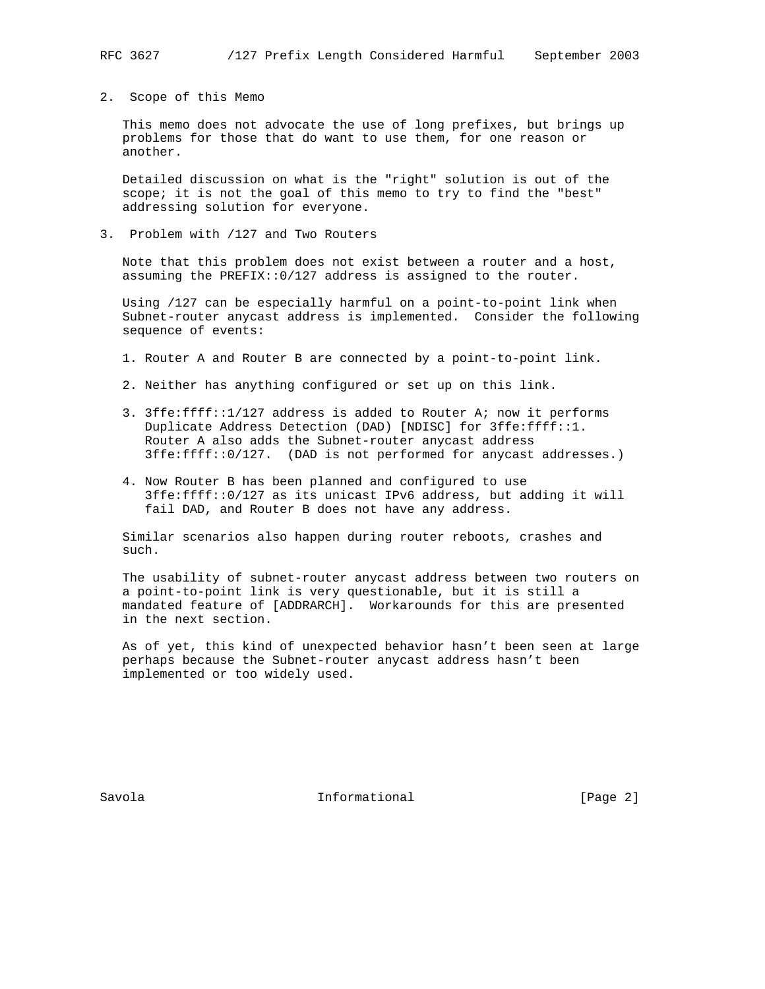2. Scope of this Memo

 This memo does not advocate the use of long prefixes, but brings up problems for those that do want to use them, for one reason or another.

 Detailed discussion on what is the "right" solution is out of the scope; it is not the goal of this memo to try to find the "best" addressing solution for everyone.

3. Problem with /127 and Two Routers

 Note that this problem does not exist between a router and a host, assuming the PREFIX::0/127 address is assigned to the router.

 Using /127 can be especially harmful on a point-to-point link when Subnet-router anycast address is implemented. Consider the following sequence of events:

- 1. Router A and Router B are connected by a point-to-point link.
- 2. Neither has anything configured or set up on this link.
- 3. 3ffe:ffff::1/127 address is added to Router A; now it performs Duplicate Address Detection (DAD) [NDISC] for 3ffe:ffff::1. Router A also adds the Subnet-router anycast address 3ffe:ffff::0/127. (DAD is not performed for anycast addresses.)
- 4. Now Router B has been planned and configured to use 3ffe:ffff::0/127 as its unicast IPv6 address, but adding it will fail DAD, and Router B does not have any address.

 Similar scenarios also happen during router reboots, crashes and such.

 The usability of subnet-router anycast address between two routers on a point-to-point link is very questionable, but it is still a mandated feature of [ADDRARCH]. Workarounds for this are presented in the next section.

 As of yet, this kind of unexpected behavior hasn't been seen at large perhaps because the Subnet-router anycast address hasn't been implemented or too widely used.

Savola **Informational** Informational [Page 2]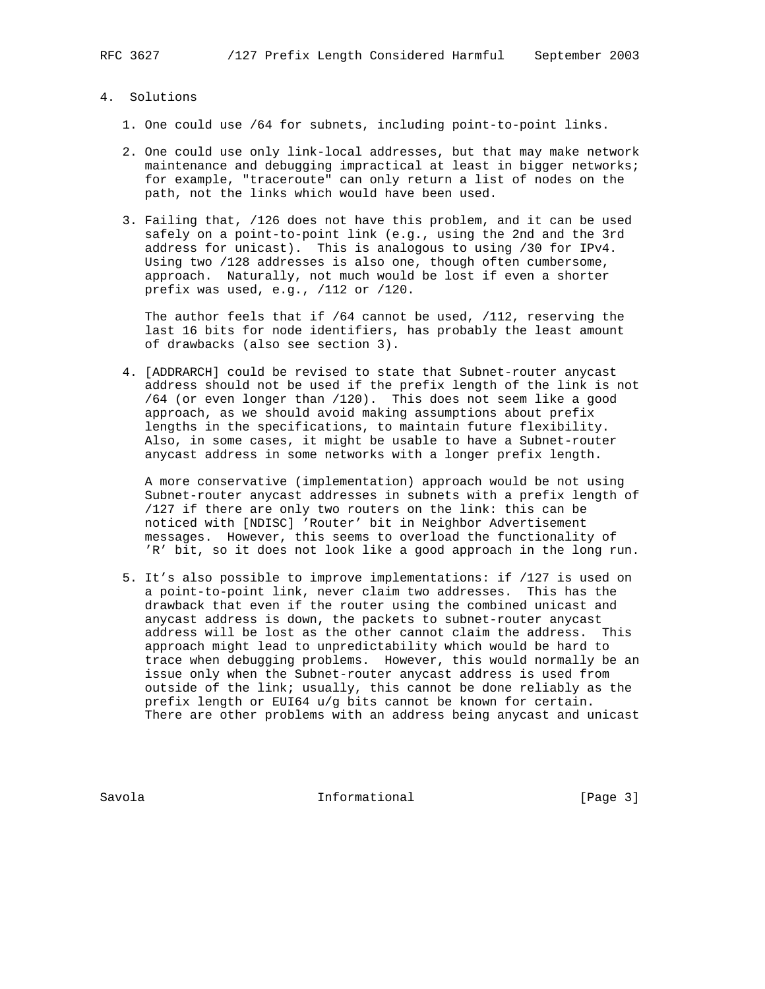# 4. Solutions

- 1. One could use /64 for subnets, including point-to-point links.
- 2. One could use only link-local addresses, but that may make network maintenance and debugging impractical at least in bigger networks; for example, "traceroute" can only return a list of nodes on the path, not the links which would have been used.
- 3. Failing that, /126 does not have this problem, and it can be used safely on a point-to-point link (e.g., using the 2nd and the 3rd address for unicast). This is analogous to using /30 for IPv4. Using two /128 addresses is also one, though often cumbersome, approach. Naturally, not much would be lost if even a shorter prefix was used, e.g., /112 or /120.

 The author feels that if /64 cannot be used, /112, reserving the last 16 bits for node identifiers, has probably the least amount of drawbacks (also see section 3).

 4. [ADDRARCH] could be revised to state that Subnet-router anycast address should not be used if the prefix length of the link is not /64 (or even longer than /120). This does not seem like a good approach, as we should avoid making assumptions about prefix lengths in the specifications, to maintain future flexibility. Also, in some cases, it might be usable to have a Subnet-router anycast address in some networks with a longer prefix length.

 A more conservative (implementation) approach would be not using Subnet-router anycast addresses in subnets with a prefix length of /127 if there are only two routers on the link: this can be noticed with [NDISC] 'Router' bit in Neighbor Advertisement messages. However, this seems to overload the functionality of 'R' bit, so it does not look like a good approach in the long run.

 5. It's also possible to improve implementations: if /127 is used on a point-to-point link, never claim two addresses. This has the drawback that even if the router using the combined unicast and anycast address is down, the packets to subnet-router anycast address will be lost as the other cannot claim the address. This approach might lead to unpredictability which would be hard to trace when debugging problems. However, this would normally be an issue only when the Subnet-router anycast address is used from outside of the link; usually, this cannot be done reliably as the prefix length or EUI64 u/g bits cannot be known for certain. There are other problems with an address being anycast and unicast

Savola **Informational** Informational [Page 3]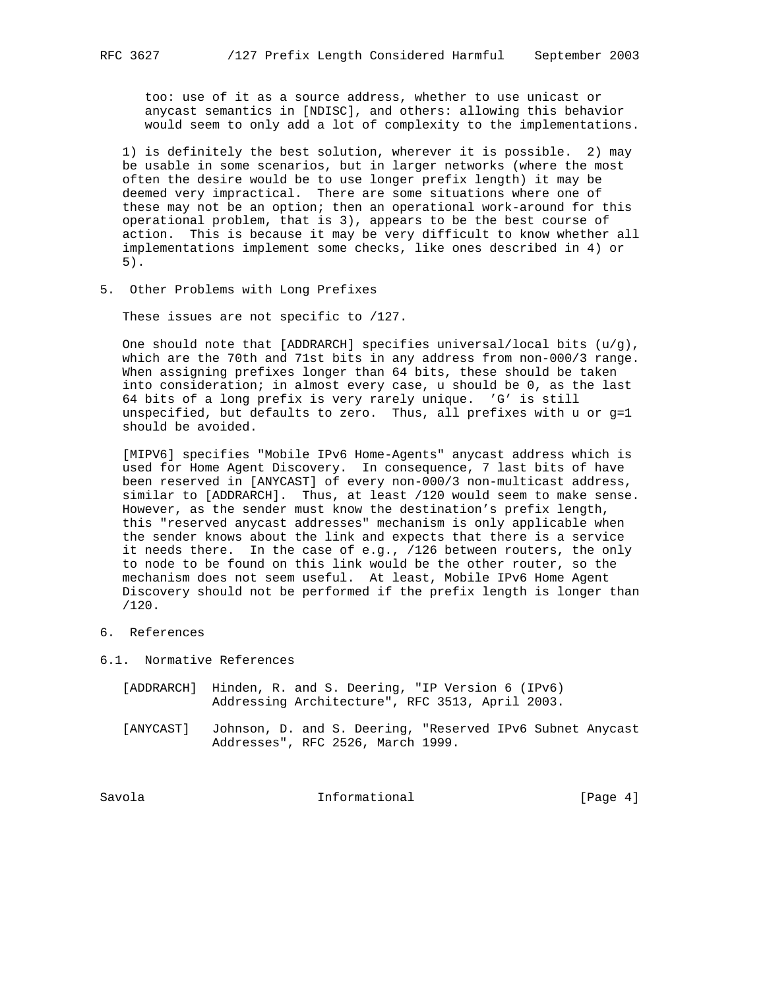too: use of it as a source address, whether to use unicast or anycast semantics in [NDISC], and others: allowing this behavior would seem to only add a lot of complexity to the implementations.

 1) is definitely the best solution, wherever it is possible. 2) may be usable in some scenarios, but in larger networks (where the most often the desire would be to use longer prefix length) it may be deemed very impractical. There are some situations where one of these may not be an option; then an operational work-around for this operational problem, that is 3), appears to be the best course of action. This is because it may be very difficult to know whether all implementations implement some checks, like ones described in 4) or 5).

5. Other Problems with Long Prefixes

These issues are not specific to /127.

One should note that [ADDRARCH] specifies universal/local bits  $(u/g)$ , which are the 70th and 71st bits in any address from non-000/3 range. When assigning prefixes longer than 64 bits, these should be taken into consideration; in almost every case, u should be 0, as the last 64 bits of a long prefix is very rarely unique. 'G' is still unspecified, but defaults to zero. Thus, all prefixes with u or g=1 should be avoided.

 [MIPV6] specifies "Mobile IPv6 Home-Agents" anycast address which is used for Home Agent Discovery. In consequence, 7 last bits of have been reserved in [ANYCAST] of every non-000/3 non-multicast address, similar to [ADDRARCH]. Thus, at least /120 would seem to make sense. However, as the sender must know the destination's prefix length, this "reserved anycast addresses" mechanism is only applicable when the sender knows about the link and expects that there is a service it needs there. In the case of e.g., /126 between routers, the only to node to be found on this link would be the other router, so the mechanism does not seem useful. At least, Mobile IPv6 Home Agent Discovery should not be performed if the prefix length is longer than /120.

- 6. References
- 6.1. Normative References
	- [ADDRARCH] Hinden, R. and S. Deering, "IP Version 6 (IPv6) Addressing Architecture", RFC 3513, April 2003.
	- [ANYCAST] Johnson, D. and S. Deering, "Reserved IPv6 Subnet Anycast Addresses", RFC 2526, March 1999.

Savola 10 Informational 10 [Page 4]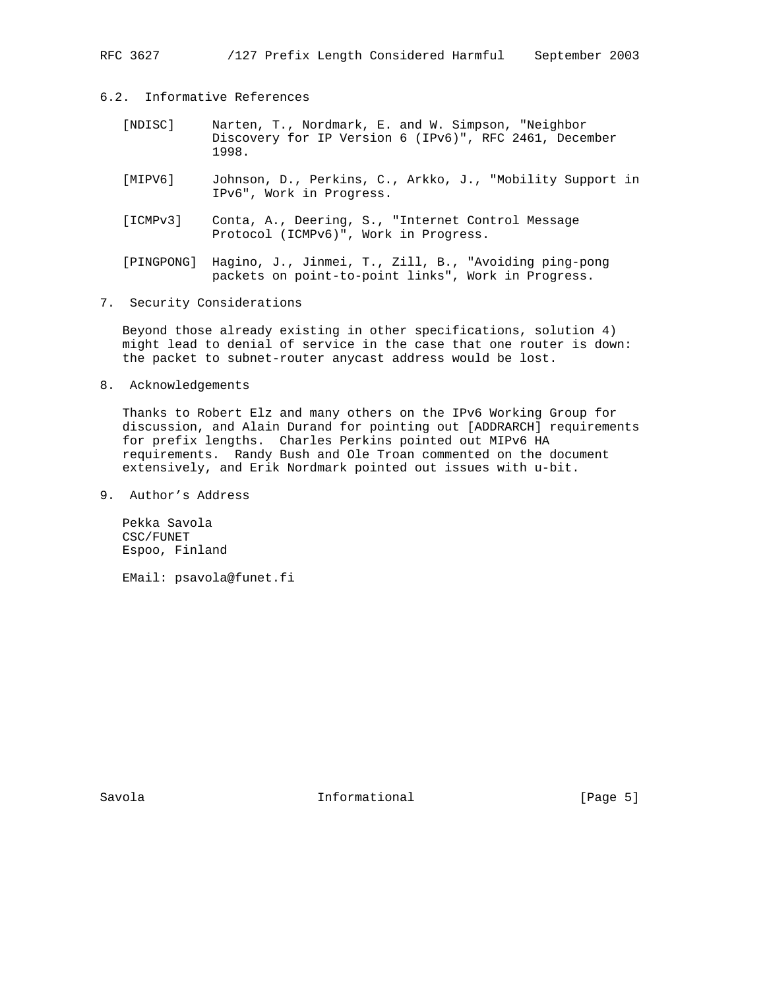RFC 3627 /127 Prefix Length Considered Harmful September 2003

6.2. Informative References

- [NDISC] Narten, T., Nordmark, E. and W. Simpson, "Neighbor Discovery for IP Version 6 (IPv6)", RFC 2461, December 1998.
- [MIPV6] Johnson, D., Perkins, C., Arkko, J., "Mobility Support in IPv6", Work in Progress.
- [ICMPv3] Conta, A., Deering, S., "Internet Control Message Protocol (ICMPv6)", Work in Progress.
- [PINGPONG] Hagino, J., Jinmei, T., Zill, B., "Avoiding ping-pong packets on point-to-point links", Work in Progress.
- 7. Security Considerations

 Beyond those already existing in other specifications, solution 4) might lead to denial of service in the case that one router is down: the packet to subnet-router anycast address would be lost.

8. Acknowledgements

 Thanks to Robert Elz and many others on the IPv6 Working Group for discussion, and Alain Durand for pointing out [ADDRARCH] requirements for prefix lengths. Charles Perkins pointed out MIPv6 HA requirements. Randy Bush and Ole Troan commented on the document extensively, and Erik Nordmark pointed out issues with u-bit.

9. Author's Address

 Pekka Savola CSC/FUNET Espoo, Finland

EMail: psavola@funet.fi

Savola **Informational** Informational [Page 5]